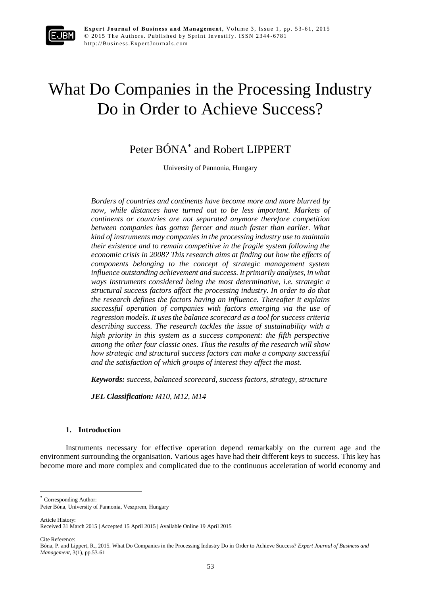

# What Do Companies in the Processing Industry Do in Order to Achieve Success?

Peter BÓNA\* and Robert LIPPERT

University of Pannonia, Hungary

*Borders of countries and continents have become more and more blurred by now, while distances have turned out to be less important. Markets of continents or countries are not separated anymore therefore competition between companies has gotten fiercer and much faster than earlier. What kind of instruments may companies in the processing industry use to maintain their existence and to remain competitive in the fragile system following the economic crisis in 2008? This research aims at finding out how the effects of components belonging to the concept of strategic management system influence outstanding achievement and success. It primarily analyses, in what ways instruments considered being the most determinative, i.e. strategic a structural success factors affect the processing industry. In order to do that the research defines the factors having an influence. Thereafter it explains successful operation of companies with factors emerging via the use of regression models. It uses the balance scorecard as a tool for success criteria describing success. The research tackles the issue of sustainability with a high priority in this system as a success component: the fifth perspective among the other four classic ones. Thus the results of the research will show how strategic and structural success factors can make a company successful and the satisfaction of which groups of interest they affect the most.*

*Keywords: success, balanced scorecard, success factors, strategy, structure*

*JEL Classification: M10, M12, M14*

#### **1. Introduction**

Instruments necessary for effective operation depend remarkably on the current age and the environment surrounding the organisation. Various ages have had their different keys to success. This key has become more and more complex and complicated due to the continuous acceleration of world economy and

\* Corresponding Author:

Article History:

 $\overline{a}$ 

Cite Reference:

Peter Bóna, University of Pannonia, Veszprem, Hungary

Received 31 March 2015 | Accepted 15 April 2015 | Available Online 19 April 2015

Bóna, P. and Lippert, R., 2015. What Do Companies in the Processing Industry Do in Order to Achieve Success? *Expert Journal of Business and Management*, 3(1), pp.53-61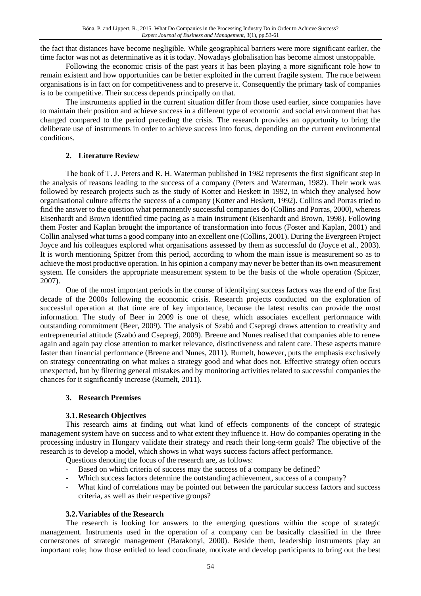the fact that distances have become negligible. While geographical barriers were more significant earlier, the time factor was not as determinative as it is today. Nowadays globalisation has become almost unstoppable.

Following the economic crisis of the past years it has been playing a more significant role how to remain existent and how opportunities can be better exploited in the current fragile system. The race between organisations is in fact on for competitiveness and to preserve it. Consequently the primary task of companies is to be competitive. Their success depends principally on that.

The instruments applied in the current situation differ from those used earlier, since companies have to maintain their position and achieve success in a different type of economic and social environment that has changed compared to the period preceding the crisis. The research provides an opportunity to bring the deliberate use of instruments in order to achieve success into focus, depending on the current environmental conditions.

## **2. Literature Review**

The book of T. J. Peters and R. H. Waterman published in 1982 represents the first significant step in the analysis of reasons leading to the success of a company (Peters and Waterman, 1982). Their work was followed by research projects such as the study of Kotter and Heskett in 1992, in which they analysed how organisational culture affects the success of a company (Kotter and Heskett, 1992). Collins and Porras tried to find the answer to the question what permanently successful companies do (Collins and Porras, 2000), whereas Eisenhardt and Brown identified time pacing as a main instrument (Eisenhardt and Brown, 1998). Following them Foster and Kaplan brought the importance of transformation into focus (Foster and Kaplan, 2001) and Collin analysed what turns a good company into an excellent one (Collins, 2001). During the Evergreen Project Joyce and his colleagues explored what organisations assessed by them as successful do (Joyce et al., 2003). It is worth mentioning Spitzer from this period, according to whom the main issue is measurement so as to achieve the most productive operation. In his opinion a company may never be better than its own measurement system. He considers the appropriate measurement system to be the basis of the whole operation (Spitzer, 2007).

One of the most important periods in the course of identifying success factors was the end of the first decade of the 2000s following the economic crisis. Research projects conducted on the exploration of successful operation at that time are of key importance, because the latest results can provide the most information. The study of Beer in 2009 is one of these, which associates excellent performance with outstanding commitment (Beer, 2009). The analysis of Szabó and Csepregi draws attention to creativity and entrepreneurial attitude (Szabó and Csepregi, 2009). Breene and Nunes realised that companies able to renew again and again pay close attention to market relevance, distinctiveness and talent care. These aspects mature faster than financial performance (Breene and Nunes, 2011). Rumelt, however, puts the emphasis exclusively on strategy concentrating on what makes a strategy good and what does not. Effective strategy often occurs unexpected, but by filtering general mistakes and by monitoring activities related to successful companies the chances for it significantly increase (Rumelt, 2011).

#### **3. Research Premises**

# **3.1.Research Objectives**

This research aims at finding out what kind of effects components of the concept of strategic management system have on success and to what extent they influence it. How do companies operating in the processing industry in Hungary validate their strategy and reach their long-term goals? The objective of the research is to develop a model, which shows in what ways success factors affect performance.

Questions denoting the focus of the research are, as follows:

- Based on which criteria of success may the success of a company be defined?
- Which success factors determine the outstanding achievement, success of a company?
- What kind of correlations may be pointed out between the particular success factors and success criteria, as well as their respective groups?

# **3.2.Variables of the Research**

The research is looking for answers to the emerging questions within the scope of strategic management. Instruments used in the operation of a company can be basically classified in the three cornerstones of strategic management (Barakonyi, 2000). Beside them, leadership instruments play an important role; how those entitled to lead coordinate, motivate and develop participants to bring out the best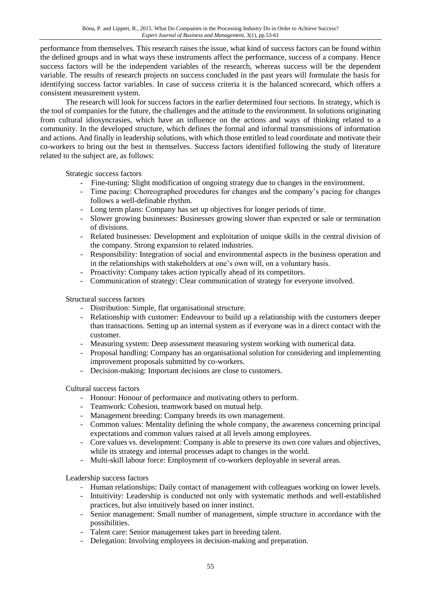performance from themselves. This research raises the issue, what kind of success factors can be found within the defined groups and in what ways these instruments affect the performance, success of a company. Hence success factors will be the independent variables of the research, whereas success will be the dependent variable. The results of research projects on success concluded in the past years will formulate the basis for identifying success factor variables. In case of success criteria it is the balanced scorecard, which offers a consistent measurement system.

The research will look for success factors in the earlier determined four sections. In strategy, which is the tool of companies for the future, the challenges and the attitude to the environment. In solutions originating from cultural idiosyncrasies, which have an influence on the actions and ways of thinking related to a community. In the developed structure, which defines the formal and informal transmissions of information and actions. And finally in leadership solutions, with which those entitled to lead coordinate and motivate their co-workers to bring out the best in themselves. Success factors identified following the study of literature related to the subject are, as follows:

Strategic success factors

- Fine-tuning: Slight modification of ongoing strategy due to changes in the environment.
- Time pacing: Choreographed procedures for changes and the company's pacing for changes follows a well-definable rhythm.
- Long term plans: Company has set up objectives for longer periods of time.
- Slower growing businesses: Businesses growing slower than expected or sale or termination of divisions.
- Related businesses: Development and exploitation of unique skills in the central division of the company. Strong expansion to related industries.
- Responsibility: Integration of social and environmental aspects in the business operation and in the relationships with stakeholders at one's own will, on a voluntary basis.
- Proactivity: Company takes action typically ahead of its competitors.
- Communication of strategy: Clear communication of strategy for everyone involved.

Structural success factors

- Distribution: Simple, flat organisational structure.
- Relationship with customer: Endeavour to build up a relationship with the customers deeper than transactions. Setting up an internal system as if everyone was in a direct contact with the customer.
- Measuring system: Deep assessment measuring system working with numerical data.
- Proposal handling: Company has an organisational solution for considering and implementing improvement proposals submitted by co-workers.
- Decision-making: Important decisions are close to customers.

Cultural success factors

- Honour: Honour of performance and motivating others to perform.
- Teamwork: Cohesion, teamwork based on mutual help.
- Management breeding: Company breeds its own management.
- Common values: Mentality defining the whole company, the awareness concerning principal expectations and common values raised at all levels among employees.
- Core values vs. development: Company is able to preserve its own core values and objectives, while its strategy and internal processes adapt to changes in the world.
- Multi-skill labour force: Employment of co-workers deployable in several areas.

Leadership success factors

- Human relationships: Daily contact of management with colleagues working on lower levels.
- Intuitivity: Leadership is conducted not only with systematic methods and well-established practices, but also intuitively based on inner instinct.
- Senior management: Small number of management, simple structure in accordance with the possibilities.
- Talent care: Senior management takes part in breeding talent.
- Delegation: Involving employees in decision-making and preparation.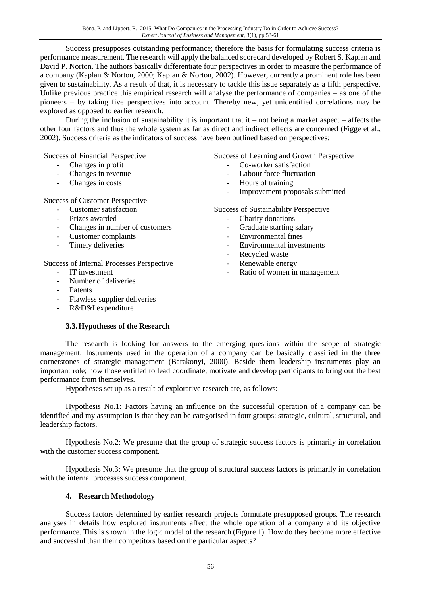Success presupposes outstanding performance; therefore the basis for formulating success criteria is performance measurement. The research will apply the balanced scorecard developed by Robert S. Kaplan and David P. Norton. The authors basically differentiate four perspectives in order to measure the performance of a company (Kaplan & Norton, 2000; Kaplan & Norton, 2002). However, currently a prominent role has been given to sustainability. As a result of that, it is necessary to tackle this issue separately as a fifth perspective. Unlike previous practice this empirical research will analyse the performance of companies – as one of the pioneers – by taking five perspectives into account. Thereby new, yet unidentified correlations may be explored as opposed to earlier research.

During the inclusion of sustainability it is important that it – not being a market aspect – affects the other four factors and thus the whole system as far as direct and indirect effects are concerned (Figge et al., 2002). Success criteria as the indicators of success have been outlined based on perspectives:

Success of Financial Perspective

- Changes in profit
- Changes in revenue
- Changes in costs

Success of Customer Perspective

- Customer satisfaction
- Prizes awarded
- Changes in number of customers
- Customer complaints
- Timely deliveries

Success of Internal Processes Perspective

- IT investment
- Number of deliveries
- **Patents**
- Flawless supplier deliveries
- R&D&I expenditure

# **3.3.Hypotheses of the Research**

Success of Learning and Growth Perspective

- Co-worker satisfaction
- Labour force fluctuation
- Hours of training
- Improvement proposals submitted

Success of Sustainability Perspective

- Charity donations
- Graduate starting salary
- Environmental fines
- Environmental investments
- Recycled waste
- Renewable energy
- Ratio of women in management

The research is looking for answers to the emerging questions within the scope of strategic management. Instruments used in the operation of a company can be basically classified in the three cornerstones of strategic management (Barakonyi, 2000). Beside them leadership instruments play an important role; how those entitled to lead coordinate, motivate and develop participants to bring out the best performance from themselves.

Hypotheses set up as a result of explorative research are, as follows:

Hypothesis No.1: Factors having an influence on the successful operation of a company can be identified and my assumption is that they can be categorised in four groups: strategic, cultural, structural, and leadership factors.

Hypothesis No.2: We presume that the group of strategic success factors is primarily in correlation with the customer success component.

Hypothesis No.3: We presume that the group of structural success factors is primarily in correlation with the internal processes success component.

# **4. Research Methodology**

Success factors determined by earlier research projects formulate presupposed groups. The research analyses in details how explored instruments affect the whole operation of a company and its objective performance. This is shown in the logic model of the research (Figure 1). How do they become more effective and successful than their competitors based on the particular aspects?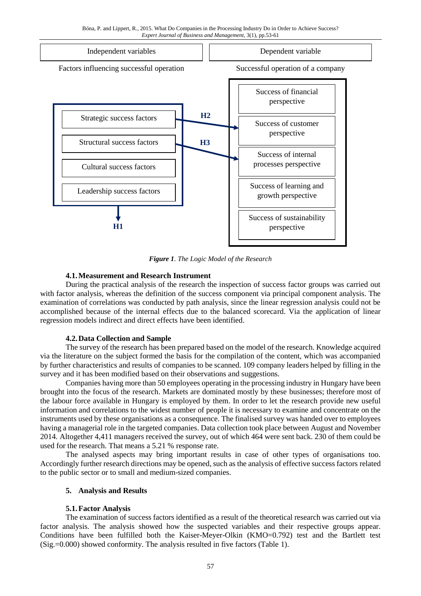

*Figure 1. The Logic Model of the Research*

## **4.1.Measurement and Research Instrument**

During the practical analysis of the research the inspection of success factor groups was carried out with factor analysis, whereas the definition of the success component via principal component analysis. The examination of correlations was conducted by path analysis, since the linear regression analysis could not be accomplished because of the internal effects due to the balanced scorecard. Via the application of linear regression models indirect and direct effects have been identified.

#### **4.2.Data Collection and Sample**

The survey of the research has been prepared based on the model of the research. Knowledge acquired via the literature on the subject formed the basis for the compilation of the content, which was accompanied by further characteristics and results of companies to be scanned. 109 company leaders helped by filling in the survey and it has been modified based on their observations and suggestions.

Companies having more than 50 employees operating in the processing industry in Hungary have been brought into the focus of the research. Markets are dominated mostly by these businesses; therefore most of the labour force available in Hungary is employed by them. In order to let the research provide new useful information and correlations to the widest number of people it is necessary to examine and concentrate on the instruments used by these organisations as a consequence. The finalised survey was handed over to employees having a managerial role in the targeted companies. Data collection took place between August and November 2014. Altogether 4,411 managers received the survey, out of which 464 were sent back. 230 of them could be used for the research. That means a 5.21 % response rate.

The analysed aspects may bring important results in case of other types of organisations too. Accordingly further research directions may be opened, such as the analysis of effective success factors related to the public sector or to small and medium-sized companies.

#### **5. Analysis and Results**

# **5.1.Factor Analysis**

The examination of success factors identified as a result of the theoretical research was carried out via factor analysis. The analysis showed how the suspected variables and their respective groups appear. Conditions have been fulfilled both the Kaiser-Meyer-Olkin (KMO=0.792) test and the Bartlett test (Sig.=0.000) showed conformity. The analysis resulted in five factors (Table 1).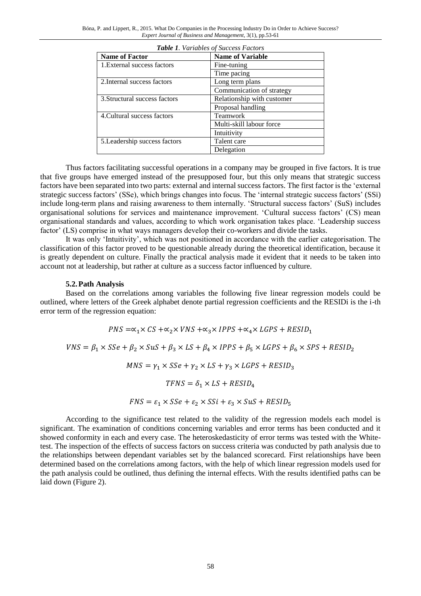| <b>Table 1.</b> Variables by Success Pacibis |                            |  |  |
|----------------------------------------------|----------------------------|--|--|
| <b>Name of Factor</b>                        | <b>Name of Variable</b>    |  |  |
| 1. External success factors                  | Fine-tuning                |  |  |
|                                              | Time pacing                |  |  |
| 2. Internal success factors                  | Long term plans            |  |  |
|                                              | Communication of strategy  |  |  |
| 3. Structural success factors                | Relationship with customer |  |  |
|                                              | Proposal handling          |  |  |
| 4. Cultural success factors                  | Teamwork                   |  |  |
|                                              | Multi-skill labour force   |  |  |
|                                              | Intuitivity                |  |  |
| 5. Leadership success factors                | Talent care                |  |  |
|                                              | Delegation                 |  |  |

*Table 1. Variables of Success Factors*

Thus factors facilitating successful operations in a company may be grouped in five factors. It is true that five groups have emerged instead of the presupposed four, but this only means that strategic success factors have been separated into two parts: external and internal success factors. The first factor is the 'external strategic success factors' (SSe), which brings changes into focus. The 'internal strategic success factors' (SSi) include long-term plans and raising awareness to them internally. 'Structural success factors' (SuS) includes organisational solutions for services and maintenance improvement. 'Cultural success factors' (CS) mean organisational standards and values, according to which work organisation takes place. 'Leadership success factor' (LS) comprise in what ways managers develop their co-workers and divide the tasks.

It was only 'Intuitivity', which was not positioned in accordance with the earlier categorisation. The classification of this factor proved to be questionable already during the theoretical identification, because it is greatly dependent on culture. Finally the practical analysis made it evident that it needs to be taken into account not at leadership, but rather at culture as a success factor influenced by culture.

#### **5.2.Path Analysis**

Based on the correlations among variables the following five linear regression models could be outlined, where letters of the Greek alphabet denote partial regression coefficients and the RESIDi is the i-th error term of the regression equation:

 $PNS = \propto_1 \times CS + \propto_2 \times VNS + \propto_3 \times IPPS + \propto_4 \times LGPS + RESID_1$  $VNS = \beta_1 \times SSe + \beta_2 \times SuS + \beta_3 \times LS + \beta_4 \times IPPS + \beta_5 \times LGPS + \beta_6 \times SPS + RESID_2$  $MNS = \gamma_1 \times SSe + \gamma_2 \times LS + \gamma_3 \times LGPS + RESID_3$  $TFNS = \delta_1 \times LS + RESID_A$  $FNS = \varepsilon_1 \times SSe + \varepsilon_2 \times SSi + \varepsilon_3 \times SuS + RESID_5$ 

According to the significance test related to the validity of the regression models each model is significant. The examination of conditions concerning variables and error terms has been conducted and it showed conformity in each and every case. The heteroskedasticity of error terms was tested with the Whitetest. The inspection of the effects of success factors on success criteria was conducted by path analysis due to the relationships between dependant variables set by the balanced scorecard. First relationships have been determined based on the correlations among factors, with the help of which linear regression models used for the path analysis could be outlined, thus defining the internal effects. With the results identified paths can be laid down (Figure 2).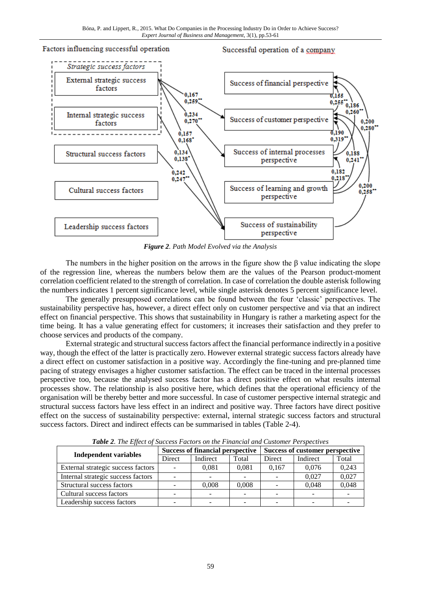

*Figure 2. Path Model Evolved via the Analysis*

The numbers in the higher position on the arrows in the figure show the  $\beta$  value indicating the slope of the regression line, whereas the numbers below them are the values of the Pearson product-moment correlation coefficient related to the strength of correlation. In case of correlation the double asterisk following the numbers indicates 1 percent significance level, while single asterisk denotes 5 percent significance level.

The generally presupposed correlations can be found between the four 'classic' perspectives. The sustainability perspective has, however, a direct effect only on customer perspective and via that an indirect effect on financial perspective. This shows that sustainability in Hungary is rather a marketing aspect for the time being. It has a value generating effect for customers; it increases their satisfaction and they prefer to choose services and products of the company.

External strategic and structural success factors affect the financial performance indirectly in a positive way, though the effect of the latter is practically zero. However external strategic success factors already have a direct effect on customer satisfaction in a positive way. Accordingly the fine-tuning and pre-planned time pacing of strategy envisages a higher customer satisfaction. The effect can be traced in the internal processes perspective too, because the analysed success factor has a direct positive effect on what results internal processes show. The relationship is also positive here, which defines that the operational efficiency of the organisation will be thereby better and more successful. In case of customer perspective internal strategic and structural success factors have less effect in an indirect and positive way. Three factors have direct positive effect on the success of sustainability perspective: external, internal strategic success factors and structural success factors. Direct and indirect effects can be summarised in tables (Table 2-4).

| <b>Tuble 2.</b> The Effect of Success Puttors on the Pinancial and Customer Terspectives |                                         |          |       |                                 |          |       |  |
|------------------------------------------------------------------------------------------|-----------------------------------------|----------|-------|---------------------------------|----------|-------|--|
| <b>Independent variables</b>                                                             | <b>Success of financial perspective</b> |          |       | Success of customer perspective |          |       |  |
|                                                                                          | Direct                                  | Indirect | Total | Direct                          | Indirect | Total |  |
| External strategic success factors                                                       |                                         | 0.081    | 0,081 | 0,167                           | 0.076    | 0,243 |  |
| Internal strategic success factors                                                       |                                         |          |       |                                 | 0.027    | 0,027 |  |
| Structural success factors                                                               |                                         | 0,008    | 0,008 |                                 | 0.048    | 0,048 |  |
| Cultural success factors                                                                 |                                         |          |       |                                 |          |       |  |
| Leadership success factors                                                               |                                         |          |       |                                 |          |       |  |

*Table 2. The Effect of Success Factors on the Financial and Customer Perspectives*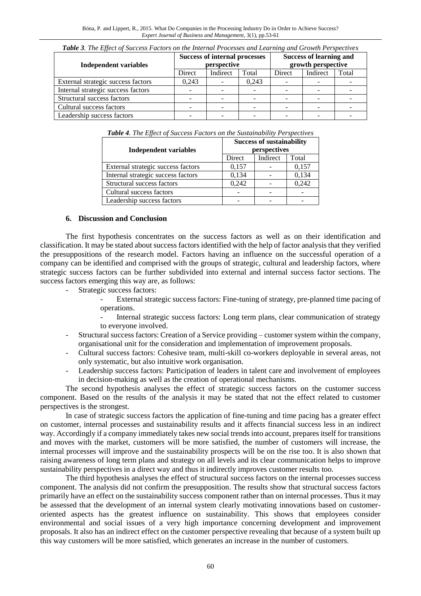| <b>Table 5.</b> The Effect of Success Factors on the internal Processes and Learning and Growth Perspectives |                                                     |          |       |                                                      |          |       |
|--------------------------------------------------------------------------------------------------------------|-----------------------------------------------------|----------|-------|------------------------------------------------------|----------|-------|
| <b>Independent variables</b>                                                                                 | <b>Success of internal processes</b><br>perspective |          |       | <b>Success of learning and</b><br>growth perspective |          |       |
|                                                                                                              | Direct                                              | Indirect | Total | Direct                                               | Indirect | Total |
| External strategic success factors                                                                           | 0.243                                               |          | 0.243 |                                                      |          |       |
| Internal strategic success factors                                                                           |                                                     |          |       |                                                      |          |       |
| Structural success factors                                                                                   |                                                     |          |       |                                                      |          |       |
| Cultural success factors                                                                                     |                                                     |          |       |                                                      |          |       |
| Leadership success factors                                                                                   |                                                     |          |       |                                                      |          |       |

*Table 3. The Effect of Success Factors on the Internal Processes and Learning and Growth Perspectives*

*Table 4. The Effect of Success Factors on the Sustainability Perspectives*

|                                    | <b>Success of sustainability</b> |          |       |  |
|------------------------------------|----------------------------------|----------|-------|--|
| Independent variables              | perspectives                     |          |       |  |
|                                    | Direct                           | Indirect | Total |  |
| External strategic success factors | 0,157                            |          | 0,157 |  |
| Internal strategic success factors | 0,134                            |          | 0,134 |  |
| Structural success factors         | 0,242                            |          | 0,242 |  |
| Cultural success factors           |                                  |          |       |  |
| Leadership success factors         |                                  |          |       |  |

#### **6. Discussion and Conclusion**

The first hypothesis concentrates on the success factors as well as on their identification and classification. It may be stated about success factors identified with the help of factor analysis that they verified the presuppositions of the research model. Factors having an influence on the successful operation of a company can be identified and comprised with the groups of strategic, cultural and leadership factors, where strategic success factors can be further subdivided into external and internal success factor sections. The success factors emerging this way are, as follows:

- Strategic success factors:
	- External strategic success factors: Fine-tuning of strategy, pre-planned time pacing of operations.
	- Internal strategic success factors: Long term plans, clear communication of strategy to everyone involved.
- Structural success factors: Creation of a Service providing customer system within the company, organisational unit for the consideration and implementation of improvement proposals.
- Cultural success factors: Cohesive team, multi-skill co-workers deployable in several areas, not only systematic, but also intuitive work organisation.
- Leadership success factors: Participation of leaders in talent care and involvement of employees in decision-making as well as the creation of operational mechanisms.

The second hypothesis analyses the effect of strategic success factors on the customer success component. Based on the results of the analysis it may be stated that not the effect related to customer perspectives is the strongest.

In case of strategic success factors the application of fine-tuning and time pacing has a greater effect on customer, internal processes and sustainability results and it affects financial success less in an indirect way. Accordingly if a company immediately takes new social trends into account, prepares itself for transitions and moves with the market, customers will be more satisfied, the number of customers will increase, the internal processes will improve and the sustainability prospects will be on the rise too. It is also shown that raising awareness of long term plans and strategy on all levels and its clear communication helps to improve sustainability perspectives in a direct way and thus it indirectly improves customer results too.

The third hypothesis analyses the effect of structural success factors on the internal processes success component. The analysis did not confirm the presupposition. The results show that structural success factors primarily have an effect on the sustainability success component rather than on internal processes. Thus it may be assessed that the development of an internal system clearly motivating innovations based on customeroriented aspects has the greatest influence on sustainability. This shows that employees consider environmental and social issues of a very high importance concerning development and improvement proposals. It also has an indirect effect on the customer perspective revealing that because of a system built up this way customers will be more satisfied, which generates an increase in the number of customers.